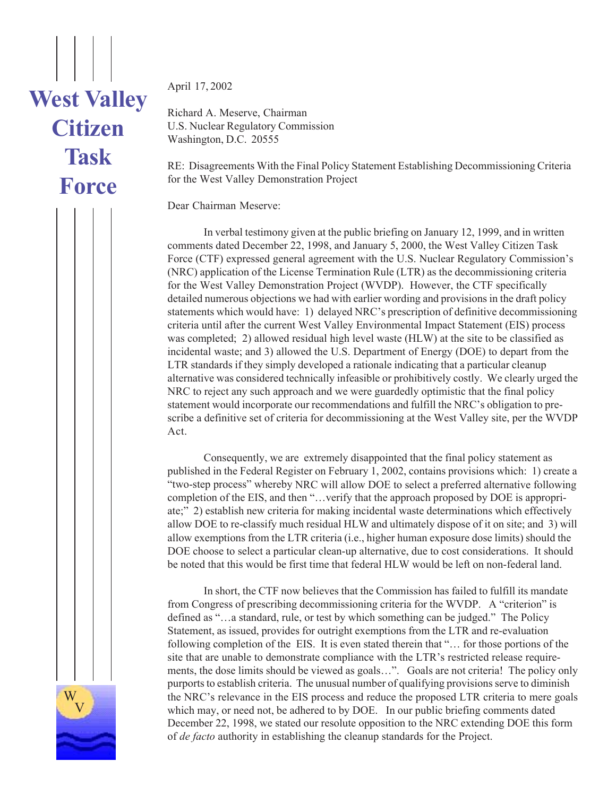## **West Valley Citizen Task Force**

April 17, 2002

Richard A. Meserve, Chairman U.S. Nuclear Regulatory Commission Washington, D.C. 20555

RE: Disagreements With the Final Policy Statement Establishing Decommissioning Criteria for the West Valley Demonstration Project

Dear Chairman Meserve:

In verbal testimony given at the public briefing on January 12, 1999, and in written comments dated December 22, 1998, and January 5, 2000, the West Valley Citizen Task Force (CTF) expressed general agreement with the U.S. Nuclear Regulatory Commission's (NRC) application of the License Termination Rule (LTR) as the decommissioning criteria for the West Valley Demonstration Project (WVDP). However, the CTF specifically detailed numerous objections we had with earlier wording and provisions in the draft policy statements which would have: 1) delayed NRC's prescription of definitive decommissioning criteria until after the current West Valley Environmental Impact Statement (EIS) process was completed; 2) allowed residual high level waste (HLW) at the site to be classified as incidental waste; and 3) allowed the U.S. Department of Energy (DOE) to depart from the LTR standards if they simply developed a rationale indicating that a particular cleanup alternative was considered technically infeasible or prohibitively costly. We clearly urged the NRC to reject any such approach and we were guardedly optimistic that the final policy statement would incorporate our recommendations and fulfill the NRC's obligation to prescribe a definitive set of criteria for decommissioning at the West Valley site, per the WVDP Act.

Consequently, we are extremely disappointed that the final policy statement as published in the Federal Register on February 1, 2002, contains provisions which: 1) create a "two-step process" whereby NRC will allow DOE to select a preferred alternative following completion of the EIS, and then "…verify that the approach proposed by DOE is appropriate;" 2) establish new criteria for making incidental waste determinations which effectively allow DOE to re-classify much residual HLW and ultimately dispose of it on site; and 3) will allow exemptions from the LTR criteria (i.e., higher human exposure dose limits) should the DOE choose to select a particular clean-up alternative, due to cost considerations. It should be noted that this would be first time that federal HLW would be left on non-federal land.

In short, the CTF now believes that the Commission has failed to fulfill its mandate from Congress of prescribing decommissioning criteria for the WVDP. A "criterion" is defined as "…a standard, rule, or test by which something can be judged." The Policy Statement, as issued, provides for outright exemptions from the LTR and re-evaluation following completion of the EIS. It is even stated therein that "… for those portions of the site that are unable to demonstrate compliance with the LTR's restricted release requirements, the dose limits should be viewed as goals…". Goals are not criteria! The policy only purports to establish criteria. The unusual number of qualifying provisions serve to diminish the NRC's relevance in the EIS process and reduce the proposed LTR criteria to mere goals which may, or need not, be adhered to by DOE. In our public briefing comments dated December 22, 1998, we stated our resolute opposition to the NRC extending DOE this form of *de facto* authority in establishing the cleanup standards for the Project.

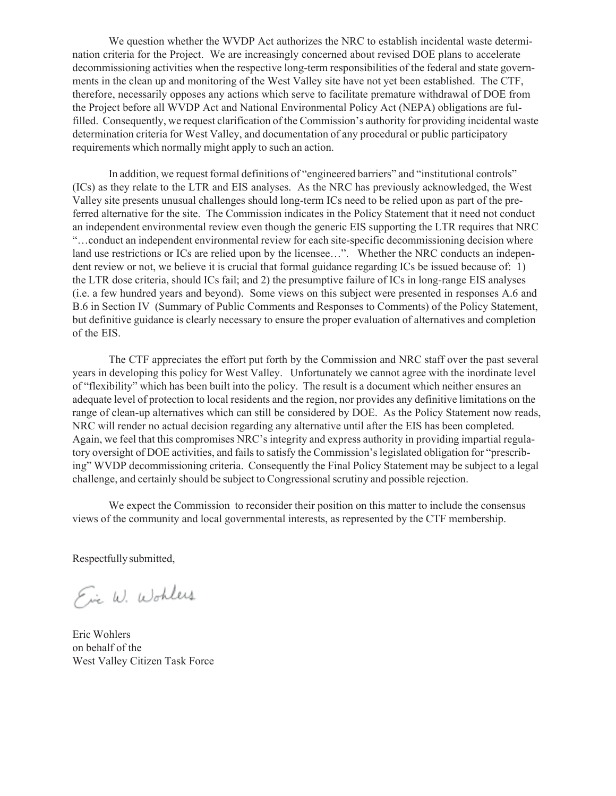We question whether the WVDP Act authorizes the NRC to establish incidental waste determination criteria for the Project. We are increasingly concerned about revised DOE plans to accelerate decommissioning activities when the respective long-term responsibilities of the federal and state governments in the clean up and monitoring of the West Valley site have not yet been established. The CTF, therefore, necessarily opposes any actions which serve to facilitate premature withdrawal of DOE from the Project before all WVDP Act and National Environmental Policy Act (NEPA) obligations are fulfilled. Consequently, we request clarification of the Commission's authority for providing incidental waste determination criteria for West Valley, and documentation of any procedural or public participatory requirements which normally might apply to such an action.

In addition, we request formal definitions of "engineered barriers" and "institutional controls" (ICs) as they relate to the LTR and EIS analyses. As the NRC has previously acknowledged, the West Valley site presents unusual challenges should long-term ICs need to be relied upon as part of the preferred alternative for the site. The Commission indicates in the Policy Statement that it need not conduct an independent environmental review even though the generic EIS supporting the LTR requires that NRC "…conduct an independent environmental review for each site-specific decommissioning decision where land use restrictions or ICs are relied upon by the licensee…". Whether the NRC conducts an independent review or not, we believe it is crucial that formal guidance regarding ICs be issued because of: 1) the LTR dose criteria, should ICs fail; and 2) the presumptive failure of ICs in long-range EIS analyses (i.e. a few hundred years and beyond). Some views on this subject were presented in responses A.6 and B.6 in Section IV (Summary of Public Comments and Responses to Comments) of the Policy Statement, but definitive guidance is clearly necessary to ensure the proper evaluation of alternatives and completion of the EIS.

The CTF appreciates the effort put forth by the Commission and NRC staff over the past several years in developing this policy for West Valley. Unfortunately we cannot agree with the inordinate level of "flexibility" which has been built into the policy. The result is a document which neither ensures an adequate level of protection to local residents and the region, nor provides any definitive limitations on the range of clean-up alternatives which can still be considered by DOE. As the Policy Statement now reads, NRC will render no actual decision regarding any alternative until after the EIS has been completed. Again, we feel that this compromises NRC's integrity and express authority in providing impartial regulatory oversight of DOE activities, and fails to satisfy the Commission's legislated obligation for "prescribing" WVDP decommissioning criteria. Consequently the Final Policy Statement may be subject to a legal challenge, and certainly should be subject to Congressional scrutiny and possible rejection.

We expect the Commission to reconsider their position on this matter to include the consensus views of the community and local governmental interests, as represented by the CTF membership.

Respectfully submitted,

Ein W. Wohles

Eric Wohlers on behalf of the West Valley Citizen Task Force